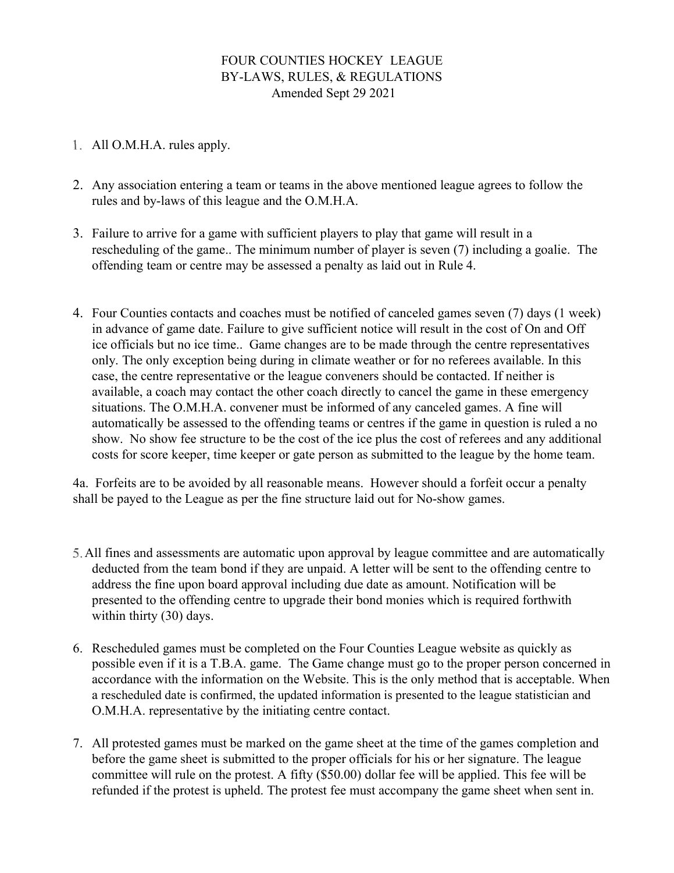# FOUR COUNTIES HOCKEY LEAGUE BY-LAWS, RULES, & REGULATIONS Amended Sept 29 2021

- All O.M.H.A. rules apply.
- 2. Any association entering a team or teams in the above mentioned league agrees to follow the rules and by-laws of this league and the O.M.H.A.
- 3. Failure to arrive for a game with sufficient players to play that game will result in a rescheduling of the game.. The minimum number of player is seven (7) including a goalie. The offending team or centre may be assessed a penalty as laid out in Rule 4.
- 4. Four Counties contacts and coaches must be notified of canceled games seven (7) days (1 week) in advance of game date. Failure to give sufficient notice will result in the cost of On and Off ice officials but no ice time.. Game changes are to be made through the centre representatives only. The only exception being during in climate weather or for no referees available. In this case, the centre representative or the league conveners should be contacted. If neither is available, a coach may contact the other coach directly to cancel the game in these emergency situations. The O.M.H.A. convener must be informed of any canceled games. A fine will automatically be assessed to the offending teams or centres if the game in question is ruled a no show. No show fee structure to be the cost of the ice plus the cost of referees and any additional costs for score keeper, time keeper or gate person as submitted to the league by the home team.

4a. Forfeits are to be avoided by all reasonable means. However should a forfeit occur a penalty shall be payed to the League as per the fine structure laid out for No-show games.

- All fines and assessments are automatic upon approval by league committee and are automatically deducted from the team bond if they are unpaid. A letter will be sent to the offending centre to address the fine upon board approval including due date as amount. Notification will be presented to the offending centre to upgrade their bond monies which is required forthwith within thirty (30) days.
- 6. Rescheduled games must be completed on the Four Counties League website as quickly as possible even if it is a T.B.A. game. The Game change must go to the proper person concerned in accordance with the information on the Website. This is the only method that is acceptable. When a rescheduled date is confirmed, the updated information is presented to the league statistician and O.M.H.A. representative by the initiating centre contact.
- 7. All protested games must be marked on the game sheet at the time of the games completion and before the game sheet is submitted to the proper officials for his or her signature. The league committee will rule on the protest. A fifty (\$50.00) dollar fee will be applied. This fee will be refunded if the protest is upheld. The protest fee must accompany the game sheet when sent in.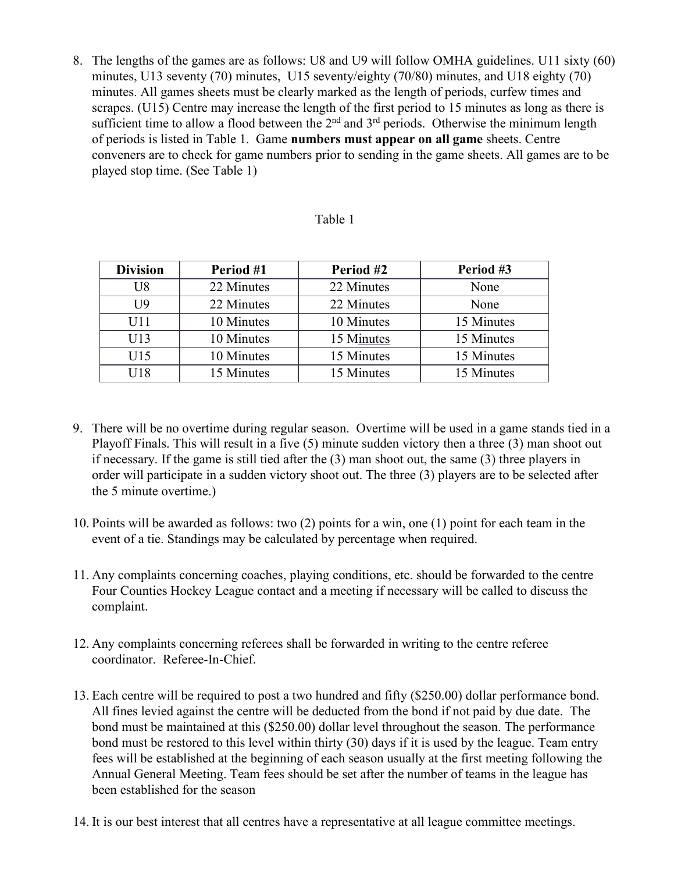8. The lengths of the games are as follows: U8 and U9 will follow OMHA guidelines. U11 sixty (60) minutes, U13 seventy (70) minutes, U15 seventy/eighty (70/80) minutes, and U18 eighty (70) minutes. All games sheets must be clearly marked as the length of periods, curfew times and scrapes. (U15) Centre may increase the length of the first period to 15 minutes as long as there is sufficient time to allow a flood between the  $2<sup>nd</sup>$  and  $3<sup>rd</sup>$  periods. Otherwise the minimum length of periods is listed in Table 1. Game **numbers must appear on all game** sheets. Centre conveners are to check for game numbers prior to sending in the game sheets. All games are to be played stop time. (See Table 1)

#### Table 1

| <b>Division</b> | Period #1  | Period #2  | Period #3  |
|-----------------|------------|------------|------------|
| U8              | 22 Minutes | 22 Minutes | None       |
| U9              | 22 Minutes | 22 Minutes | None       |
| U11             | 10 Minutes | 10 Minutes | 15 Minutes |
| U13             | 10 Minutes | 15 Minutes | 15 Minutes |
| U15             | 10 Minutes | 15 Minutes | 15 Minutes |
| U18             | 15 Minutes | 15 Minutes | 15 Minutes |

- 9. There will be no overtime during regular season. Overtime will be used in a game stands tied in a Playoff Finals. This will result in a five (5) minute sudden victory then a three (3) man shoot out if necessary. If the game is still tied after the (3) man shoot out, the same (3) three players in order will participate in a sudden victory shoot out. The three (3) players are to be selected after the 5 minute overtime.)
- 10. Points will be awarded as follows: two (2) points for a win, one (1) point for each team in the event of a tie. Standings may be calculated by percentage when required.
- 11. Any complaints concerning coaches, playing conditions, etc. should be forwarded to the centre Four Counties Hockey League contact and a meeting if necessary will be called to discuss the complaint.
- 12. Any complaints concerning referees shall be forwarded in writing to the centre referee coordinator. Referee-In-Chief.
- 13. Each centre will be required to post a two hundred and fifty (\$250.00) dollar performance bond. All fines levied against the centre will be deducted from the bond if not paid by due date. The bond must be maintained at this (\$250.00) dollar level throughout the season. The performance bond must be restored to this level within thirty (30) days if it is used by the league. Team entry fees will be established at the beginning of each season usually at the first meeting following the Annual General Meeting. Team fees should be set after the number of teams in the league has been established for the season
- 14. It is our best interest that all centres have a representative at all league committee meetings.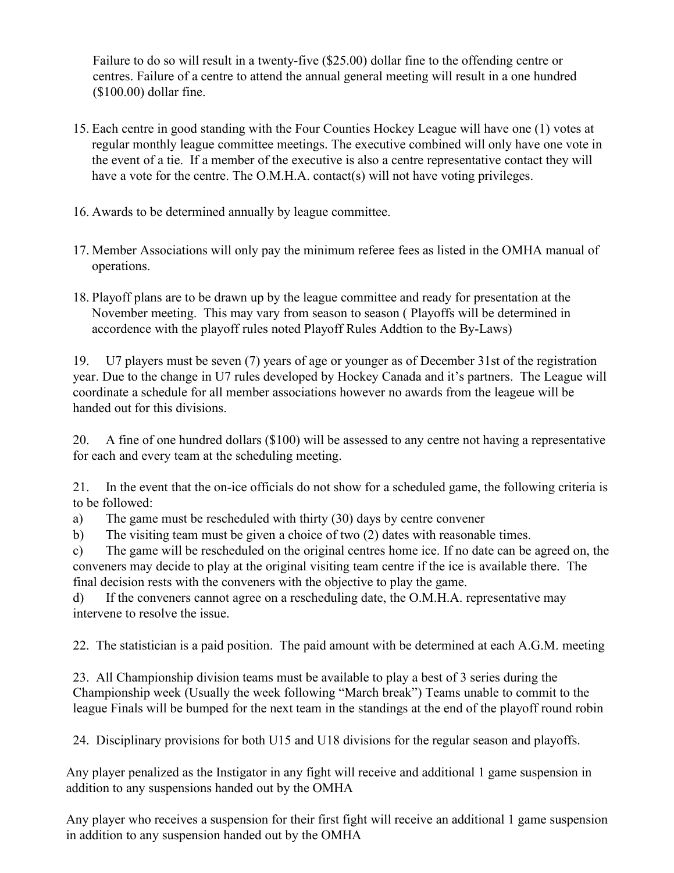Failure to do so will result in a twenty-five (\$25.00) dollar fine to the offending centre or centres. Failure of a centre to attend the annual general meeting will result in a one hundred (\$100.00) dollar fine.

- 15. Each centre in good standing with the FourCounties Hockey League will have one (1) votes at regular monthly league committee meetings. The executive combined will only have one vote in the event of a tie. If a member of the executive is also a centre representative contact they will have a vote for the centre. The O.M.H.A. contact(s) will not have voting privileges.
- 16. Awards to be determined annually by league committee.
- 17. Member Associations will only pay the minimum referee fees as listed in the OMHA manual of operations.
- 18. Playoff plans are to be drawn up by the league committee and ready for presentation at the November meeting. This may vary from season to season ( Playoffs will be determined in accordence with the playoff rules noted Playoff Rules Addtion to the By-Laws)

19. U7 players must be seven (7) years of age or younger as of December 31st of the registration year. Due to the change in U7 rules developed by Hockey Canada and it's partners. The League will coordinate a schedule for all member associations however no awards from the leageue will be handed out for this divisions.

20. A fine of one hundred dollars (\$100) will be assessed to any centre not having a representative for each and every team at the scheduling meeting.

21. In the event that the on-ice officials do not show for a scheduled game, the following criteria is to be followed:

a) The game must be rescheduled with thirty (30) days by centre convener

b) The visiting team must be given a choice of two (2) dates with reasonable times.

c) The game will be rescheduled on the original centres home ice. If no date can be agreed on, the conveners may decide to play at the original visiting team centre if the ice is available there. The final decision restswith the conveners with the objective to play the game.

d) If the conveners cannot agree on a rescheduling date, the O.M.H.A. representative may intervene to resolve the issue.

22. The statistician is a paid position. The paid amount with be determined at each A.G.M. meeting

23. All Championship division teams must be available to play a best of 3 series during the Championship week (Usually the week following "March break") Teams unable to commit to the league Finals will be bumped for the next team in the standings at the end of the playoff round robin

24. Disciplinary provisions for both U15 and U18 divisions for the regular season and playoffs.

Any player penalized as the Instigator in any fight will receive and additional 1 game suspension in addition to any suspensions handed out by the OMHA

Any player who receives a suspension for their first fight will receive an additional 1 game suspension in addition to any suspension handed out by the OMHA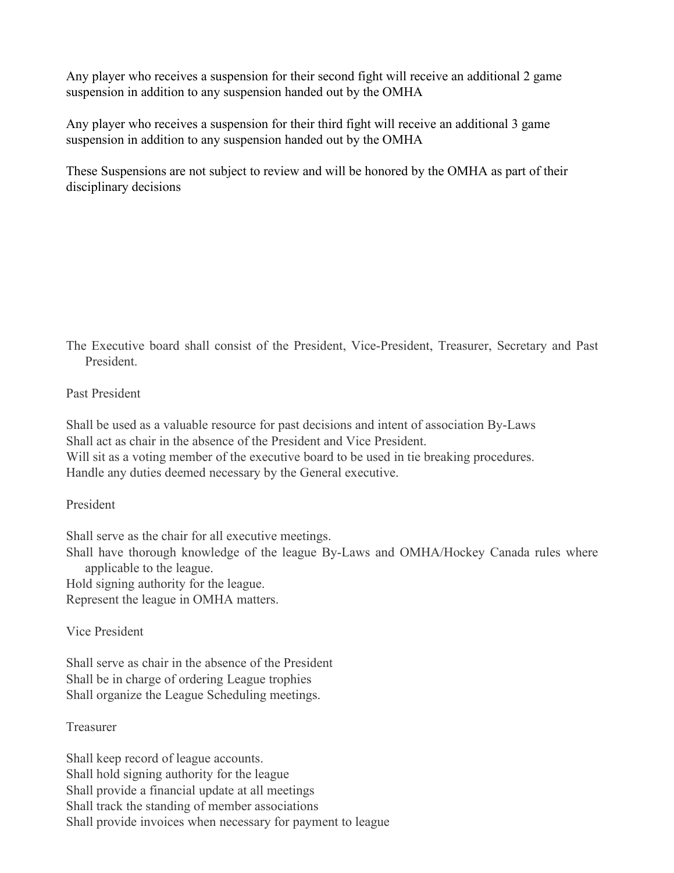Any player who receives a suspension for their second fight will receive an additional 2 game suspension in addition to any suspension handed out by the OMHA

Any player who receives a suspension for their third fight will receive an additional 3 game suspension in addition to any suspension handed out by the OMHA

These Suspensions are not subject to review and will be honored by the OMHA as part of their disciplinary decisions

The Executive board shall consist of the President, Vice-President, Treasurer, Secretary and Past President.

### Past President

Shall be used as a valuable resource for past decisions and intent of association By-Laws Shall act as chair in the absence of the President and Vice President. Will sit as a voting member of the executive board to be used in tie breaking procedures. Handle any duties deemed necessary by the General executive.

### President

Shall serve as the chair for all executive meetings.

Shall have thorough knowledge of the league By-Laws and OMHA/Hockey Canada rules where applicable to the league.

Hold signing authority for the league.

Represent the league in OMHA matters.

## Vice President

Shall serve as chair in the absence of the President Shall be in charge of ordering League trophies Shall organize the League Scheduling meetings.

#### Treasurer

Shall keep record of league accounts. Shall hold signing authority for the league Shall provide a financial update at all meetings Shall track the standing of member associations Shall provide invoices when necessary for payment to league